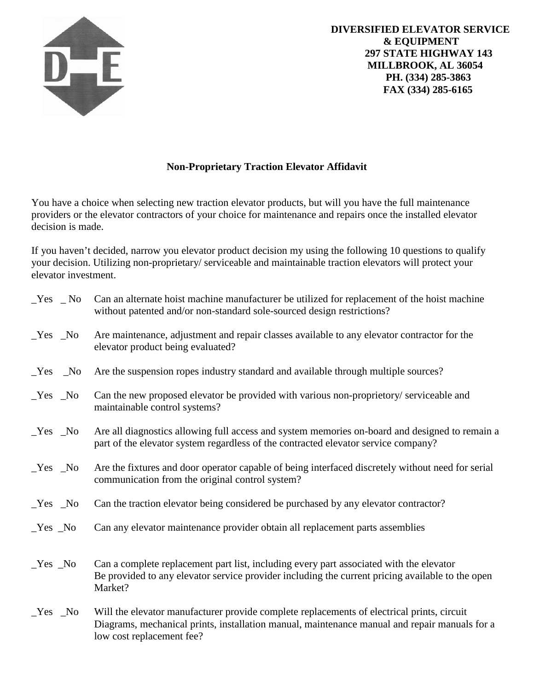

## **Non-Proprietary Traction Elevator Affidavit**

You have a choice when selecting new traction elevator products, but will you have the full maintenance providers or the elevator contractors of your choice for maintenance and repairs once the installed elevator decision is made.

If you haven't decided, narrow you elevator product decision my using the following 10 questions to qualify your decision. Utilizing non-proprietary/ serviceable and maintainable traction elevators will protect your elevator investment.

| $Yes$ No | Can an alternate hoist machine manufacturer be utilized for replacement of the hoist machine<br>without patented and/or non-standard sole-sourced design restrictions?                                                   |
|----------|--------------------------------------------------------------------------------------------------------------------------------------------------------------------------------------------------------------------------|
| $Yes$ No | Are maintenance, adjustment and repair classes available to any elevator contractor for the<br>elevator product being evaluated?                                                                                         |
| $Yes$ No | Are the suspension ropes industry standard and available through multiple sources?                                                                                                                                       |
| $Yes$ No | Can the new proposed elevator be provided with various non-proprietory/serviceable and<br>maintainable control systems?                                                                                                  |
| $Yes$ No | Are all diagnostics allowing full access and system memories on-board and designed to remain a<br>part of the elevator system regardless of the contracted elevator service company?                                     |
| $Yes$ No | Are the fixtures and door operator capable of being interfaced discretely without need for serial<br>communication from the original control system?                                                                     |
| $Yes$ No | Can the traction elevator being considered be purchased by any elevator contractor?                                                                                                                                      |
| $Yes$ No | Can any elevator maintenance provider obtain all replacement parts assemblies                                                                                                                                            |
| $Yes$ No | Can a complete replacement part list, including every part associated with the elevator<br>Be provided to any elevator service provider including the current pricing available to the open<br>Market?                   |
| $Yes$ No | Will the elevator manufacturer provide complete replacements of electrical prints, circuit<br>Diagrams, mechanical prints, installation manual, maintenance manual and repair manuals for a<br>low cost replacement fee? |